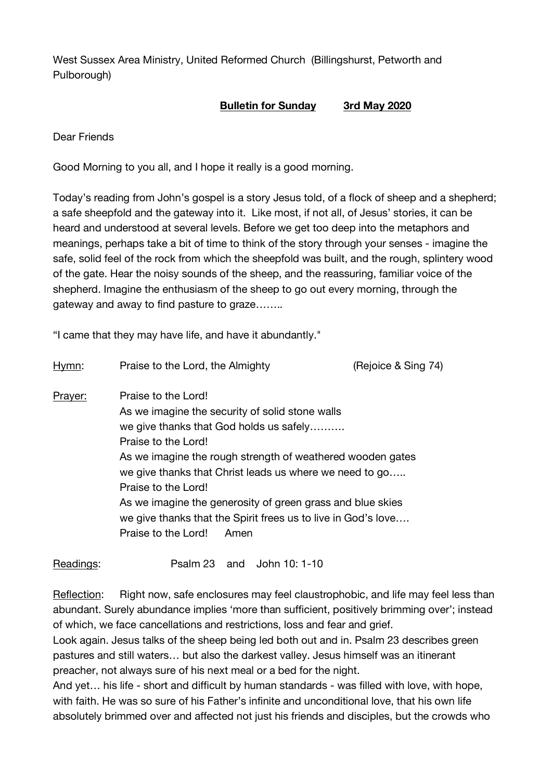West Sussex Area Ministry, United Reformed Church (Billingshurst, Petworth and Pulborough)

## **Bulletin for Sunday 3rd May 2020**

Dear Friends

Good Morning to you all, and I hope it really is a good morning.

Today's reading from John's gospel is a story Jesus told, of a flock of sheep and a shepherd; a safe sheepfold and the gateway into it. Like most, if not all, of Jesus' stories, it can be heard and understood at several levels. Before we get too deep into the metaphors and meanings, perhaps take a bit of time to think of the story through your senses - imagine the safe, solid feel of the rock from which the sheepfold was built, and the rough, splintery wood of the gate. Hear the noisy sounds of the sheep, and the reassuring, familiar voice of the shepherd. Imagine the enthusiasm of the sheep to go out every morning, through the gateway and away to find pasture to graze……..

"I came that they may have life, and have it abundantly."

| Hymn:   | Praise to the Lord, the Almighty                                                                                                                                                                                                                                                                                                                                                                                                                       | (Rejoice & Sing 74) |
|---------|--------------------------------------------------------------------------------------------------------------------------------------------------------------------------------------------------------------------------------------------------------------------------------------------------------------------------------------------------------------------------------------------------------------------------------------------------------|---------------------|
| Prayer: | Praise to the Lord!<br>As we imagine the security of solid stone walls<br>we give thanks that God holds us safely<br>Praise to the Lord!<br>As we imagine the rough strength of weathered wooden gates<br>we give thanks that Christ leads us where we need to go<br>Praise to the Lord!<br>As we imagine the generosity of green grass and blue skies<br>we give thanks that the Spirit frees us to live in God's love<br>Praise to the Lord!<br>Amen |                     |
|         |                                                                                                                                                                                                                                                                                                                                                                                                                                                        |                     |

Readings: Psalm 23 and John 10: 1-10

Reflection: Right now, safe enclosures may feel claustrophobic, and life may feel less than abundant. Surely abundance implies 'more than sufficient, positively brimming over'; instead of which, we face cancellations and restrictions, loss and fear and grief.

Look again. Jesus talks of the sheep being led both out and in. Psalm 23 describes green pastures and still waters… but also the darkest valley. Jesus himself was an itinerant preacher, not always sure of his next meal or a bed for the night.

And yet… his life - short and difficult by human standards - was filled with love, with hope, with faith. He was so sure of his Father's infinite and unconditional love, that his own life absolutely brimmed over and affected not just his friends and disciples, but the crowds who